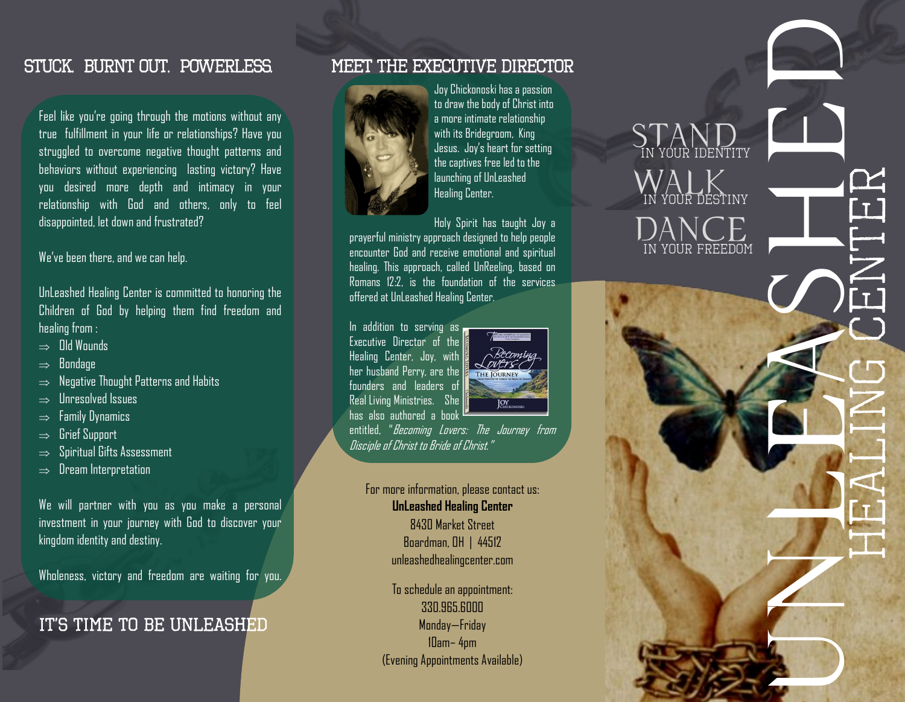### STUCK. BURNT OUT. POWERLESS.

Feel like you're going through the motions without any true fulfillment in your life or relationships? Have you struggled to overcome negative thought patterns and behaviors without experiencing lasting victory? Have you desired more depth and intimacy in your relationship with God and others, only to feel disappointed, let down and frustrated?

We've been there, and we can help.

UnLeashed Healing Center is committed to honoring the Children of God by helping them find freedom and healing from :

- $\Rightarrow$  Old Wounds
- $\Rightarrow$  Bondage
- $\Rightarrow$  Negative Thought Patterns and Habits
- $\Rightarrow$  Unresolved Issues
- $\Rightarrow$  Family Dynamics
- $\Rightarrow$  Grief Support
- $\Rightarrow$  Spiritual Gifts Assessment
- $\Rightarrow$  Dream Interpretation

We will partner with you as you make a personal investment in your journey with God to discover your kingdom identity and destiny.

Wholeness, victory and freedom are waiting for you.

## IT'S TIME TO BE UNLEASHED

### MEET THE EXECUTIVE DIRECTOR



Joy Chickonoski has a passion to draw the body of Christ into a more intimate relationship with its Bridegroom, King Jesus. Joy's heart for setting the captives free led to the launching of UnLeashed Healing Center.

Holy Spirit has taught Joy a prayerful ministry approach designed to help people encounter God and receive emotional and spiritual healing. This approach, called UnReeling, based on Romans 12:2, is the foundation of the services offered at UnLeashed Healing Center.

In addition to serving as Executive Director of the Healing Center, Joy, with her husband Perry, are the founders and leaders of Real Living Ministries. She has also authored a book



entitled, "*Becoming Lovers: The Journey from* Disciple of Christ to Bride of Christ."

#### For more information, please contact us: **UnLeashed Healing Center** 8430 Market Street

Boardman, OH | 44512 unleashedhealingcenter.com

To schedule an appointment: 330.965.6000 Monday—Friday 10am– 4pm (Evening Appointments Available)